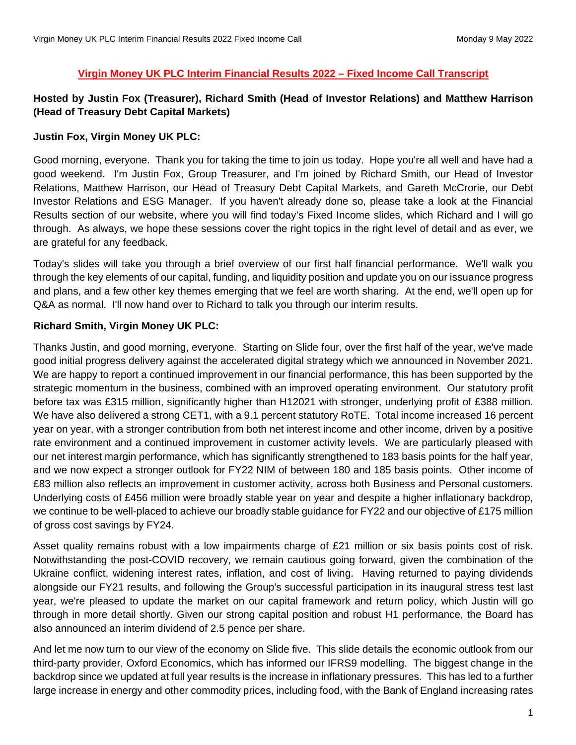#### **Virgin Money UK PLC Interim Financial Results 2022 – Fixed Income Call Transcript**

# **Hosted by Justin Fox (Treasurer), Richard Smith (Head of Investor Relations) and Matthew Harrison (Head of Treasury Debt Capital Markets)**

#### **Justin Fox, Virgin Money UK PLC:**

Good morning, everyone. Thank you for taking the time to join us today. Hope you're all well and have had a good weekend. I'm Justin Fox, Group Treasurer, and I'm joined by Richard Smith, our Head of Investor Relations, Matthew Harrison, our Head of Treasury Debt Capital Markets, and Gareth McCrorie, our Debt Investor Relations and ESG Manager. If you haven't already done so, please take a look at the Financial Results section of our website, where you will find today's Fixed Income slides, which Richard and I will go through. As always, we hope these sessions cover the right topics in the right level of detail and as ever, we are grateful for any feedback.

Today's slides will take you through a brief overview of our first half financial performance. We'll walk you through the key elements of our capital, funding, and liquidity position and update you on our issuance progress and plans, and a few other key themes emerging that we feel are worth sharing. At the end, we'll open up for Q&A as normal. I'll now hand over to Richard to talk you through our interim results.

### **Richard Smith, Virgin Money UK PLC:**

Thanks Justin, and good morning, everyone. Starting on Slide four, over the first half of the year, we've made good initial progress delivery against the accelerated digital strategy which we announced in November 2021. We are happy to report a continued improvement in our financial performance, this has been supported by the strategic momentum in the business, combined with an improved operating environment. Our statutory profit before tax was £315 million, significantly higher than H12021 with stronger, underlying profit of £388 million. We have also delivered a strong CET1, with a 9.1 percent statutory RoTE. Total income increased 16 percent year on year, with a stronger contribution from both net interest income and other income, driven by a positive rate environment and a continued improvement in customer activity levels. We are particularly pleased with our net interest margin performance, which has significantly strengthened to 183 basis points for the half year, and we now expect a stronger outlook for FY22 NIM of between 180 and 185 basis points. Other income of £83 million also reflects an improvement in customer activity, across both Business and Personal customers. Underlying costs of £456 million were broadly stable year on year and despite a higher inflationary backdrop, we continue to be well-placed to achieve our broadly stable guidance for FY22 and our objective of £175 million of gross cost savings by FY24.

Asset quality remains robust with a low impairments charge of £21 million or six basis points cost of risk. Notwithstanding the post-COVID recovery, we remain cautious going forward, given the combination of the Ukraine conflict, widening interest rates, inflation, and cost of living. Having returned to paying dividends alongside our FY21 results, and following the Group's successful participation in its inaugural stress test last year, we're pleased to update the market on our capital framework and return policy, which Justin will go through in more detail shortly. Given our strong capital position and robust H1 performance, the Board has also announced an interim dividend of 2.5 pence per share.

And let me now turn to our view of the economy on Slide five. This slide details the economic outlook from our third-party provider, Oxford Economics, which has informed our IFRS9 modelling. The biggest change in the backdrop since we updated at full year results is the increase in inflationary pressures. This has led to a further large increase in energy and other commodity prices, including food, with the Bank of England increasing rates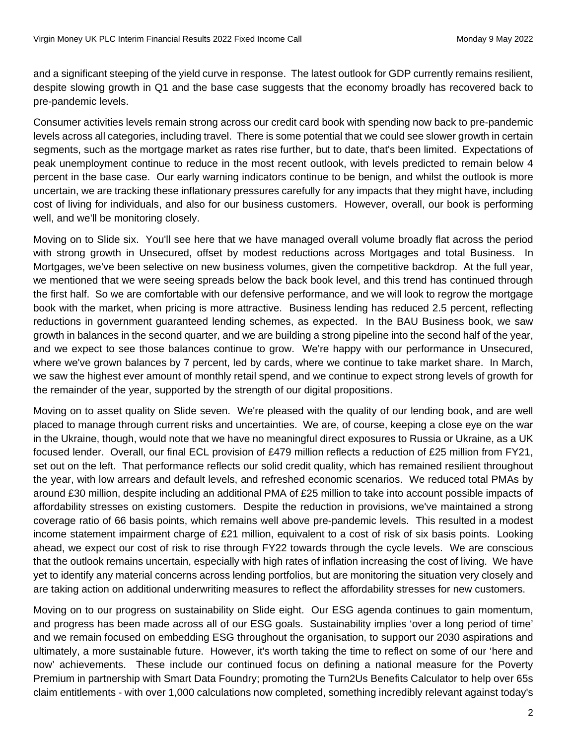and a significant steeping of the yield curve in response. The latest outlook for GDP currently remains resilient, despite slowing growth in Q1 and the base case suggests that the economy broadly has recovered back to pre-pandemic levels.

Consumer activities levels remain strong across our credit card book with spending now back to pre-pandemic levels across all categories, including travel. There is some potential that we could see slower growth in certain segments, such as the mortgage market as rates rise further, but to date, that's been limited. Expectations of peak unemployment continue to reduce in the most recent outlook, with levels predicted to remain below 4 percent in the base case. Our early warning indicators continue to be benign, and whilst the outlook is more uncertain, we are tracking these inflationary pressures carefully for any impacts that they might have, including cost of living for individuals, and also for our business customers. However, overall, our book is performing well, and we'll be monitoring closely.

Moving on to Slide six. You'll see here that we have managed overall volume broadly flat across the period with strong growth in Unsecured, offset by modest reductions across Mortgages and total Business. In Mortgages, we've been selective on new business volumes, given the competitive backdrop. At the full year, we mentioned that we were seeing spreads below the back book level, and this trend has continued through the first half. So we are comfortable with our defensive performance, and we will look to regrow the mortgage book with the market, when pricing is more attractive. Business lending has reduced 2.5 percent, reflecting reductions in government guaranteed lending schemes, as expected. In the BAU Business book, we saw growth in balances in the second quarter, and we are building a strong pipeline into the second half of the year, and we expect to see those balances continue to grow. We're happy with our performance in Unsecured, where we've grown balances by 7 percent, led by cards, where we continue to take market share. In March, we saw the highest ever amount of monthly retail spend, and we continue to expect strong levels of growth for the remainder of the year, supported by the strength of our digital propositions.

Moving on to asset quality on Slide seven. We're pleased with the quality of our lending book, and are well placed to manage through current risks and uncertainties. We are, of course, keeping a close eye on the war in the Ukraine, though, would note that we have no meaningful direct exposures to Russia or Ukraine, as a UK focused lender. Overall, our final ECL provision of £479 million reflects a reduction of £25 million from FY21, set out on the left. That performance reflects our solid credit quality, which has remained resilient throughout the year, with low arrears and default levels, and refreshed economic scenarios. We reduced total PMAs by around £30 million, despite including an additional PMA of £25 million to take into account possible impacts of affordability stresses on existing customers. Despite the reduction in provisions, we've maintained a strong coverage ratio of 66 basis points, which remains well above pre-pandemic levels. This resulted in a modest income statement impairment charge of £21 million, equivalent to a cost of risk of six basis points. Looking ahead, we expect our cost of risk to rise through FY22 towards through the cycle levels. We are conscious that the outlook remains uncertain, especially with high rates of inflation increasing the cost of living. We have yet to identify any material concerns across lending portfolios, but are monitoring the situation very closely and are taking action on additional underwriting measures to reflect the affordability stresses for new customers.

Moving on to our progress on sustainability on Slide eight. Our ESG agenda continues to gain momentum, and progress has been made across all of our ESG goals. Sustainability implies 'over a long period of time' and we remain focused on embedding ESG throughout the organisation, to support our 2030 aspirations and ultimately, a more sustainable future. However, it's worth taking the time to reflect on some of our 'here and now' achievements. These include our continued focus on defining a national measure for the Poverty Premium in partnership with Smart Data Foundry; promoting the Turn2Us Benefits Calculator to help over 65s claim entitlements - with over 1,000 calculations now completed, something incredibly relevant against today's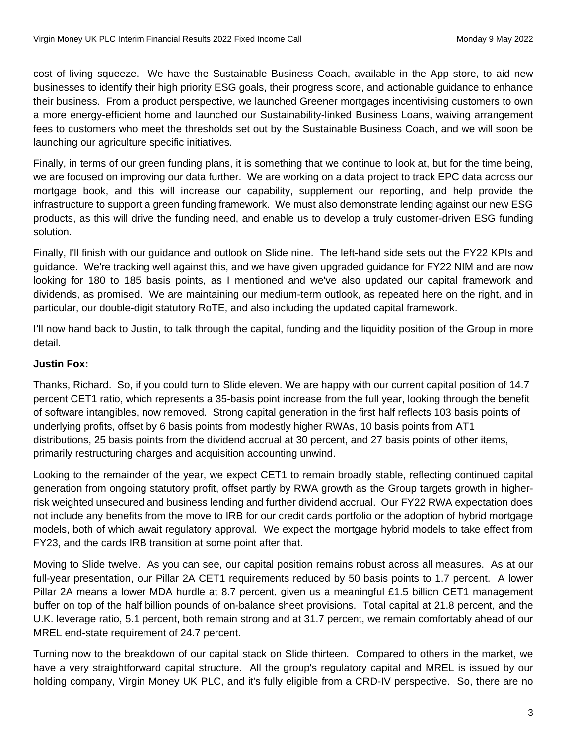cost of living squeeze. We have the Sustainable Business Coach, available in the App store, to aid new businesses to identify their high priority ESG goals, their progress score, and actionable guidance to enhance their business. From a product perspective, we launched Greener mortgages incentivising customers to own a more energy-efficient home and launched our Sustainability-linked Business Loans, waiving arrangement fees to customers who meet the thresholds set out by the Sustainable Business Coach, and we will soon be launching our agriculture specific initiatives.

Finally, in terms of our green funding plans, it is something that we continue to look at, but for the time being, we are focused on improving our data further. We are working on a data project to track EPC data across our mortgage book, and this will increase our capability, supplement our reporting, and help provide the infrastructure to support a green funding framework. We must also demonstrate lending against our new ESG products, as this will drive the funding need, and enable us to develop a truly customer-driven ESG funding solution.

Finally, I'll finish with our guidance and outlook on Slide nine. The left-hand side sets out the FY22 KPIs and guidance. We're tracking well against this, and we have given upgraded guidance for FY22 NIM and are now looking for 180 to 185 basis points, as I mentioned and we've also updated our capital framework and dividends, as promised. We are maintaining our medium-term outlook, as repeated here on the right, and in particular, our double-digit statutory RoTE, and also including the updated capital framework.

I'll now hand back to Justin, to talk through the capital, funding and the liquidity position of the Group in more detail.

# **Justin Fox:**

Thanks, Richard. So, if you could turn to Slide eleven. We are happy with our current capital position of 14.7 percent CET1 ratio, which represents a 35-basis point increase from the full year, looking through the benefit of software intangibles, now removed. Strong capital generation in the first half reflects 103 basis points of underlying profits, offset by 6 basis points from modestly higher RWAs, 10 basis points from AT1 distributions, 25 basis points from the dividend accrual at 30 percent, and 27 basis points of other items, primarily restructuring charges and acquisition accounting unwind.

Looking to the remainder of the year, we expect CET1 to remain broadly stable, reflecting continued capital generation from ongoing statutory profit, offset partly by RWA growth as the Group targets growth in higherrisk weighted unsecured and business lending and further dividend accrual. Our FY22 RWA expectation does not include any benefits from the move to IRB for our credit cards portfolio or the adoption of hybrid mortgage models, both of which await regulatory approval. We expect the mortgage hybrid models to take effect from FY23, and the cards IRB transition at some point after that.

Moving to Slide twelve. As you can see, our capital position remains robust across all measures. As at our full-year presentation, our Pillar 2A CET1 requirements reduced by 50 basis points to 1.7 percent. A lower Pillar 2A means a lower MDA hurdle at 8.7 percent, given us a meaningful £1.5 billion CET1 management buffer on top of the half billion pounds of on-balance sheet provisions. Total capital at 21.8 percent, and the U.K. leverage ratio, 5.1 percent, both remain strong and at 31.7 percent, we remain comfortably ahead of our MREL end-state requirement of 24.7 percent.

Turning now to the breakdown of our capital stack on Slide thirteen. Compared to others in the market, we have a very straightforward capital structure. All the group's regulatory capital and MREL is issued by our holding company, Virgin Money UK PLC, and it's fully eligible from a CRD-IV perspective. So, there are no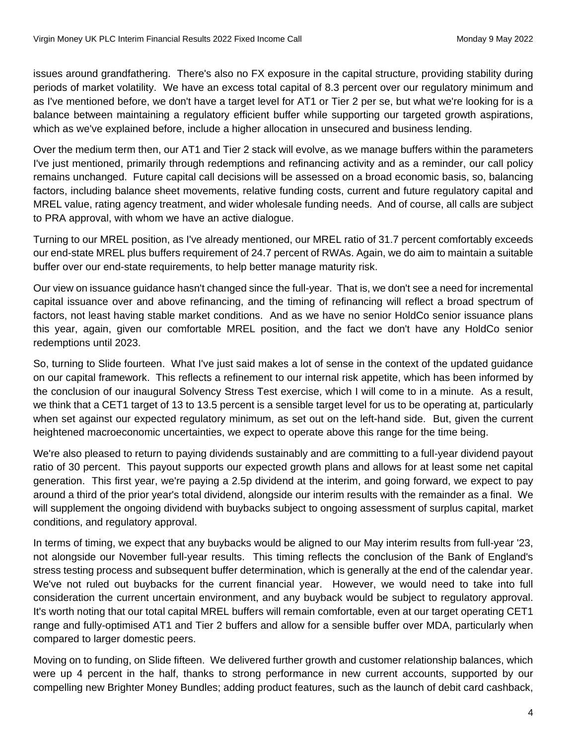issues around grandfathering. There's also no FX exposure in the capital structure, providing stability during periods of market volatility. We have an excess total capital of 8.3 percent over our regulatory minimum and as I've mentioned before, we don't have a target level for AT1 or Tier 2 per se, but what we're looking for is a balance between maintaining a regulatory efficient buffer while supporting our targeted growth aspirations, which as we've explained before, include a higher allocation in unsecured and business lending.

Over the medium term then, our AT1 and Tier 2 stack will evolve, as we manage buffers within the parameters I've just mentioned, primarily through redemptions and refinancing activity and as a reminder, our call policy remains unchanged. Future capital call decisions will be assessed on a broad economic basis, so, balancing factors, including balance sheet movements, relative funding costs, current and future regulatory capital and MREL value, rating agency treatment, and wider wholesale funding needs. And of course, all calls are subject to PRA approval, with whom we have an active dialogue.

Turning to our MREL position, as I've already mentioned, our MREL ratio of 31.7 percent comfortably exceeds our end-state MREL plus buffers requirement of 24.7 percent of RWAs. Again, we do aim to maintain a suitable buffer over our end-state requirements, to help better manage maturity risk.

Our view on issuance guidance hasn't changed since the full-year. That is, we don't see a need for incremental capital issuance over and above refinancing, and the timing of refinancing will reflect a broad spectrum of factors, not least having stable market conditions. And as we have no senior HoldCo senior issuance plans this year, again, given our comfortable MREL position, and the fact we don't have any HoldCo senior redemptions until 2023.

So, turning to Slide fourteen. What I've just said makes a lot of sense in the context of the updated guidance on our capital framework. This reflects a refinement to our internal risk appetite, which has been informed by the conclusion of our inaugural Solvency Stress Test exercise, which I will come to in a minute. As a result, we think that a CET1 target of 13 to 13.5 percent is a sensible target level for us to be operating at, particularly when set against our expected regulatory minimum, as set out on the left-hand side. But, given the current heightened macroeconomic uncertainties, we expect to operate above this range for the time being.

We're also pleased to return to paying dividends sustainably and are committing to a full-year dividend payout ratio of 30 percent. This payout supports our expected growth plans and allows for at least some net capital generation. This first year, we're paying a 2.5p dividend at the interim, and going forward, we expect to pay around a third of the prior year's total dividend, alongside our interim results with the remainder as a final. We will supplement the ongoing dividend with buybacks subject to ongoing assessment of surplus capital, market conditions, and regulatory approval.

In terms of timing, we expect that any buybacks would be aligned to our May interim results from full-year '23, not alongside our November full-year results. This timing reflects the conclusion of the Bank of England's stress testing process and subsequent buffer determination, which is generally at the end of the calendar year. We've not ruled out buybacks for the current financial year. However, we would need to take into full consideration the current uncertain environment, and any buyback would be subject to regulatory approval. It's worth noting that our total capital MREL buffers will remain comfortable, even at our target operating CET1 range and fully-optimised AT1 and Tier 2 buffers and allow for a sensible buffer over MDA, particularly when compared to larger domestic peers.

Moving on to funding, on Slide fifteen. We delivered further growth and customer relationship balances, which were up 4 percent in the half, thanks to strong performance in new current accounts, supported by our compelling new Brighter Money Bundles; adding product features, such as the launch of debit card cashback,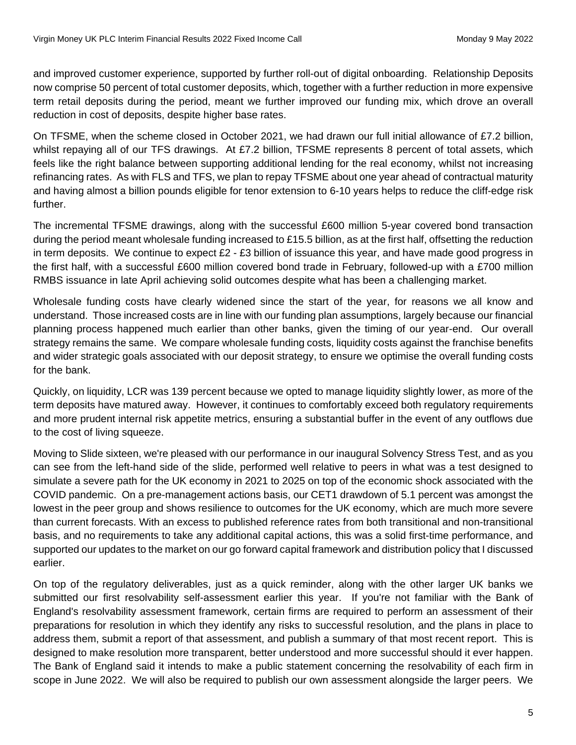and improved customer experience, supported by further roll-out of digital onboarding. Relationship Deposits now comprise 50 percent of total customer deposits, which, together with a further reduction in more expensive term retail deposits during the period, meant we further improved our funding mix, which drove an overall reduction in cost of deposits, despite higher base rates.

On TFSME, when the scheme closed in October 2021, we had drawn our full initial allowance of £7.2 billion, whilst repaying all of our TFS drawings. At £7.2 billion, TFSME represents 8 percent of total assets, which feels like the right balance between supporting additional lending for the real economy, whilst not increasing refinancing rates. As with FLS and TFS, we plan to repay TFSME about one year ahead of contractual maturity and having almost a billion pounds eligible for tenor extension to 6-10 years helps to reduce the cliff-edge risk further.

The incremental TFSME drawings, along with the successful £600 million 5-year covered bond transaction during the period meant wholesale funding increased to £15.5 billion, as at the first half, offsetting the reduction in term deposits. We continue to expect  $E2 - E3$  billion of issuance this year, and have made good progress in the first half, with a successful £600 million covered bond trade in February, followed-up with a £700 million RMBS issuance in late April achieving solid outcomes despite what has been a challenging market.

Wholesale funding costs have clearly widened since the start of the year, for reasons we all know and understand. Those increased costs are in line with our funding plan assumptions, largely because our financial planning process happened much earlier than other banks, given the timing of our year-end. Our overall strategy remains the same. We compare wholesale funding costs, liquidity costs against the franchise benefits and wider strategic goals associated with our deposit strategy, to ensure we optimise the overall funding costs for the bank.

Quickly, on liquidity, LCR was 139 percent because we opted to manage liquidity slightly lower, as more of the term deposits have matured away. However, it continues to comfortably exceed both regulatory requirements and more prudent internal risk appetite metrics, ensuring a substantial buffer in the event of any outflows due to the cost of living squeeze.

Moving to Slide sixteen, we're pleased with our performance in our inaugural Solvency Stress Test, and as you can see from the left-hand side of the slide, performed well relative to peers in what was a test designed to simulate a severe path for the UK economy in 2021 to 2025 on top of the economic shock associated with the COVID pandemic. On a pre-management actions basis, our CET1 drawdown of 5.1 percent was amongst the lowest in the peer group and shows resilience to outcomes for the UK economy, which are much more severe than current forecasts. With an excess to published reference rates from both transitional and non-transitional basis, and no requirements to take any additional capital actions, this was a solid first-time performance, and supported our updates to the market on our go forward capital framework and distribution policy that I discussed earlier.

On top of the regulatory deliverables, just as a quick reminder, along with the other larger UK banks we submitted our first resolvability self-assessment earlier this year. If you're not familiar with the Bank of England's resolvability assessment framework, certain firms are required to perform an assessment of their preparations for resolution in which they identify any risks to successful resolution, and the plans in place to address them, submit a report of that assessment, and publish a summary of that most recent report. This is designed to make resolution more transparent, better understood and more successful should it ever happen. The Bank of England said it intends to make a public statement concerning the resolvability of each firm in scope in June 2022. We will also be required to publish our own assessment alongside the larger peers. We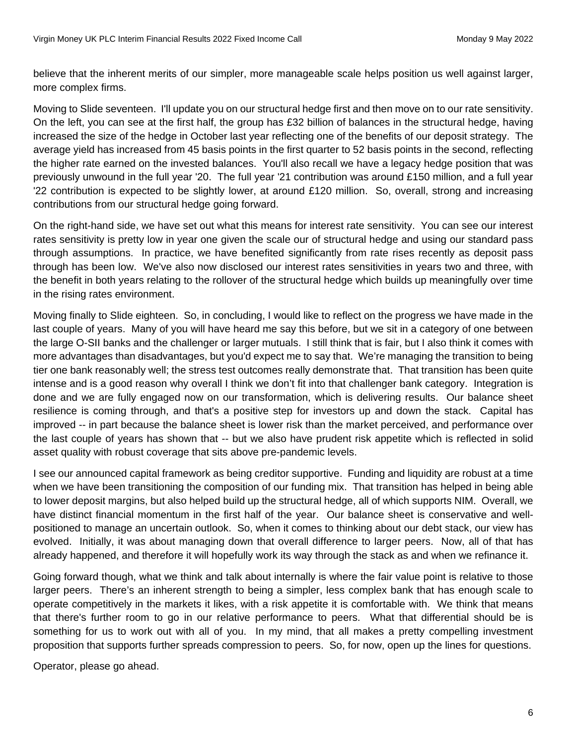believe that the inherent merits of our simpler, more manageable scale helps position us well against larger, more complex firms.

Moving to Slide seventeen. I'll update you on our structural hedge first and then move on to our rate sensitivity. On the left, you can see at the first half, the group has £32 billion of balances in the structural hedge, having increased the size of the hedge in October last year reflecting one of the benefits of our deposit strategy. The average yield has increased from 45 basis points in the first quarter to 52 basis points in the second, reflecting the higher rate earned on the invested balances. You'll also recall we have a legacy hedge position that was previously unwound in the full year '20. The full year '21 contribution was around £150 million, and a full year '22 contribution is expected to be slightly lower, at around £120 million. So, overall, strong and increasing contributions from our structural hedge going forward.

On the right-hand side, we have set out what this means for interest rate sensitivity. You can see our interest rates sensitivity is pretty low in year one given the scale our of structural hedge and using our standard pass through assumptions. In practice, we have benefited significantly from rate rises recently as deposit pass through has been low. We've also now disclosed our interest rates sensitivities in years two and three, with the benefit in both years relating to the rollover of the structural hedge which builds up meaningfully over time in the rising rates environment.

Moving finally to Slide eighteen. So, in concluding, I would like to reflect on the progress we have made in the last couple of years. Many of you will have heard me say this before, but we sit in a category of one between the large O-SII banks and the challenger or larger mutuals. I still think that is fair, but I also think it comes with more advantages than disadvantages, but you'd expect me to say that. We're managing the transition to being tier one bank reasonably well; the stress test outcomes really demonstrate that. That transition has been quite intense and is a good reason why overall I think we don't fit into that challenger bank category. Integration is done and we are fully engaged now on our transformation, which is delivering results. Our balance sheet resilience is coming through, and that's a positive step for investors up and down the stack. Capital has improved -- in part because the balance sheet is lower risk than the market perceived, and performance over the last couple of years has shown that -- but we also have prudent risk appetite which is reflected in solid asset quality with robust coverage that sits above pre-pandemic levels.

I see our announced capital framework as being creditor supportive. Funding and liquidity are robust at a time when we have been transitioning the composition of our funding mix. That transition has helped in being able to lower deposit margins, but also helped build up the structural hedge, all of which supports NIM. Overall, we have distinct financial momentum in the first half of the year. Our balance sheet is conservative and wellpositioned to manage an uncertain outlook. So, when it comes to thinking about our debt stack, our view has evolved. Initially, it was about managing down that overall difference to larger peers. Now, all of that has already happened, and therefore it will hopefully work its way through the stack as and when we refinance it.

Going forward though, what we think and talk about internally is where the fair value point is relative to those larger peers. There's an inherent strength to being a simpler, less complex bank that has enough scale to operate competitively in the markets it likes, with a risk appetite it is comfortable with. We think that means that there's further room to go in our relative performance to peers. What that differential should be is something for us to work out with all of you. In my mind, that all makes a pretty compelling investment proposition that supports further spreads compression to peers. So, for now, open up the lines for questions.

Operator, please go ahead.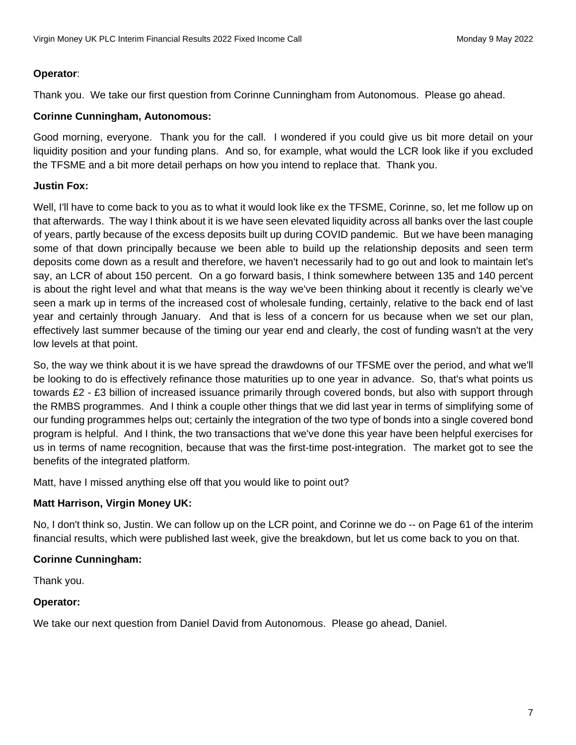## **Operator**:

Thank you. We take our first question from Corinne Cunningham from Autonomous. Please go ahead.

## **Corinne Cunningham, Autonomous:**

Good morning, everyone. Thank you for the call. I wondered if you could give us bit more detail on your liquidity position and your funding plans. And so, for example, what would the LCR look like if you excluded the TFSME and a bit more detail perhaps on how you intend to replace that. Thank you.

# **Justin Fox:**

Well, I'll have to come back to you as to what it would look like ex the TFSME, Corinne, so, let me follow up on that afterwards. The way I think about it is we have seen elevated liquidity across all banks over the last couple of years, partly because of the excess deposits built up during COVID pandemic. But we have been managing some of that down principally because we been able to build up the relationship deposits and seen term deposits come down as a result and therefore, we haven't necessarily had to go out and look to maintain let's say, an LCR of about 150 percent. On a go forward basis, I think somewhere between 135 and 140 percent is about the right level and what that means is the way we've been thinking about it recently is clearly we've seen a mark up in terms of the increased cost of wholesale funding, certainly, relative to the back end of last year and certainly through January. And that is less of a concern for us because when we set our plan, effectively last summer because of the timing our year end and clearly, the cost of funding wasn't at the very low levels at that point.

So, the way we think about it is we have spread the drawdowns of our TFSME over the period, and what we'll be looking to do is effectively refinance those maturities up to one year in advance. So, that's what points us towards £2 - £3 billion of increased issuance primarily through covered bonds, but also with support through the RMBS programmes. And I think a couple other things that we did last year in terms of simplifying some of our funding programmes helps out; certainly the integration of the two type of bonds into a single covered bond program is helpful. And I think, the two transactions that we've done this year have been helpful exercises for us in terms of name recognition, because that was the first-time post-integration. The market got to see the benefits of the integrated platform.

Matt, have I missed anything else off that you would like to point out?

# **Matt Harrison, Virgin Money UK:**

No, I don't think so, Justin. We can follow up on the LCR point, and Corinne we do -- on Page 61 of the interim financial results, which were published last week, give the breakdown, but let us come back to you on that.

### **Corinne Cunningham:**

Thank you.

### **Operator:**

We take our next question from Daniel David from Autonomous. Please go ahead, Daniel.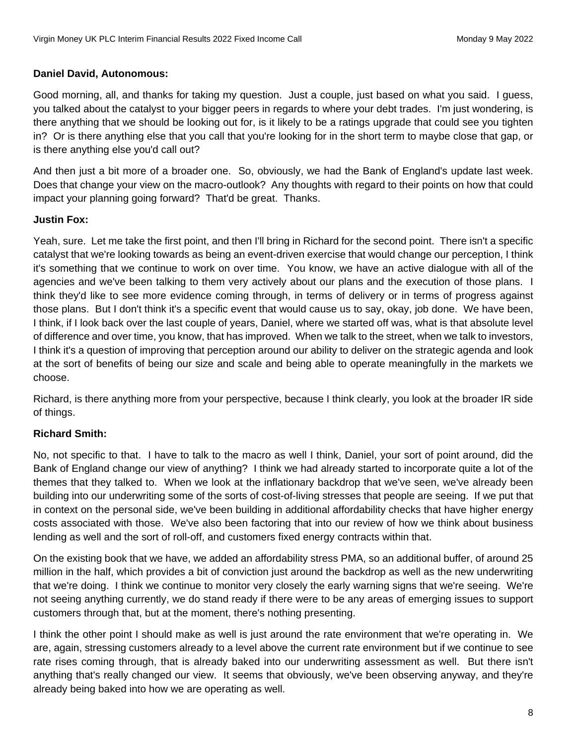### **Daniel David, Autonomous:**

Good morning, all, and thanks for taking my question. Just a couple, just based on what you said. I guess, you talked about the catalyst to your bigger peers in regards to where your debt trades. I'm just wondering, is there anything that we should be looking out for, is it likely to be a ratings upgrade that could see you tighten in? Or is there anything else that you call that you're looking for in the short term to maybe close that gap, or is there anything else you'd call out?

And then just a bit more of a broader one. So, obviously, we had the Bank of England's update last week. Does that change your view on the macro-outlook? Any thoughts with regard to their points on how that could impact your planning going forward? That'd be great. Thanks.

# **Justin Fox:**

Yeah, sure. Let me take the first point, and then I'll bring in Richard for the second point. There isn't a specific catalyst that we're looking towards as being an event-driven exercise that would change our perception, I think it's something that we continue to work on over time. You know, we have an active dialogue with all of the agencies and we've been talking to them very actively about our plans and the execution of those plans. I think they'd like to see more evidence coming through, in terms of delivery or in terms of progress against those plans. But I don't think it's a specific event that would cause us to say, okay, job done. We have been, I think, if I look back over the last couple of years, Daniel, where we started off was, what is that absolute level of difference and over time, you know, that has improved. When we talk to the street, when we talk to investors, I think it's a question of improving that perception around our ability to deliver on the strategic agenda and look at the sort of benefits of being our size and scale and being able to operate meaningfully in the markets we choose.

Richard, is there anything more from your perspective, because I think clearly, you look at the broader IR side of things.

# **Richard Smith:**

No, not specific to that. I have to talk to the macro as well I think, Daniel, your sort of point around, did the Bank of England change our view of anything? I think we had already started to incorporate quite a lot of the themes that they talked to. When we look at the inflationary backdrop that we've seen, we've already been building into our underwriting some of the sorts of cost-of-living stresses that people are seeing. If we put that in context on the personal side, we've been building in additional affordability checks that have higher energy costs associated with those. We've also been factoring that into our review of how we think about business lending as well and the sort of roll-off, and customers fixed energy contracts within that.

On the existing book that we have, we added an affordability stress PMA, so an additional buffer, of around 25 million in the half, which provides a bit of conviction just around the backdrop as well as the new underwriting that we're doing. I think we continue to monitor very closely the early warning signs that we're seeing. We're not seeing anything currently, we do stand ready if there were to be any areas of emerging issues to support customers through that, but at the moment, there's nothing presenting.

I think the other point I should make as well is just around the rate environment that we're operating in. We are, again, stressing customers already to a level above the current rate environment but if we continue to see rate rises coming through, that is already baked into our underwriting assessment as well. But there isn't anything that's really changed our view. It seems that obviously, we've been observing anyway, and they're already being baked into how we are operating as well.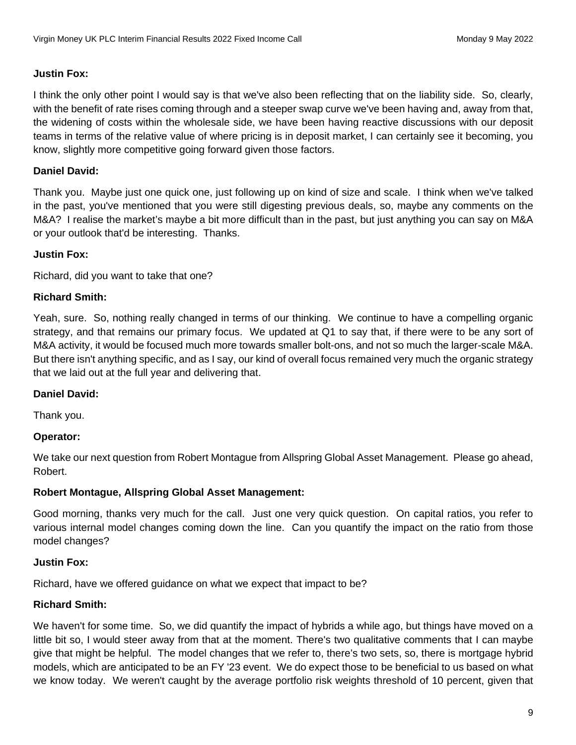### **Justin Fox:**

I think the only other point I would say is that we've also been reflecting that on the liability side. So, clearly, with the benefit of rate rises coming through and a steeper swap curve we've been having and, away from that, the widening of costs within the wholesale side, we have been having reactive discussions with our deposit teams in terms of the relative value of where pricing is in deposit market, I can certainly see it becoming, you know, slightly more competitive going forward given those factors.

## **Daniel David:**

Thank you. Maybe just one quick one, just following up on kind of size and scale. I think when we've talked in the past, you've mentioned that you were still digesting previous deals, so, maybe any comments on the M&A? I realise the market's maybe a bit more difficult than in the past, but just anything you can say on M&A or your outlook that'd be interesting. Thanks.

### **Justin Fox:**

Richard, did you want to take that one?

## **Richard Smith:**

Yeah, sure. So, nothing really changed in terms of our thinking. We continue to have a compelling organic strategy, and that remains our primary focus. We updated at Q1 to say that, if there were to be any sort of M&A activity, it would be focused much more towards smaller bolt-ons, and not so much the larger-scale M&A. But there isn't anything specific, and as I say, our kind of overall focus remained very much the organic strategy that we laid out at the full year and delivering that.

### **Daniel David:**

Thank you.

### **Operator:**

We take our next question from Robert Montague from Allspring Global Asset Management. Please go ahead, Robert.

### **Robert Montague, Allspring Global Asset Management:**

Good morning, thanks very much for the call. Just one very quick question. On capital ratios, you refer to various internal model changes coming down the line. Can you quantify the impact on the ratio from those model changes?

### **Justin Fox:**

Richard, have we offered guidance on what we expect that impact to be?

### **Richard Smith:**

We haven't for some time. So, we did quantify the impact of hybrids a while ago, but things have moved on a little bit so, I would steer away from that at the moment. There's two qualitative comments that I can maybe give that might be helpful. The model changes that we refer to, there's two sets, so, there is mortgage hybrid models, which are anticipated to be an FY '23 event. We do expect those to be beneficial to us based on what we know today. We weren't caught by the average portfolio risk weights threshold of 10 percent, given that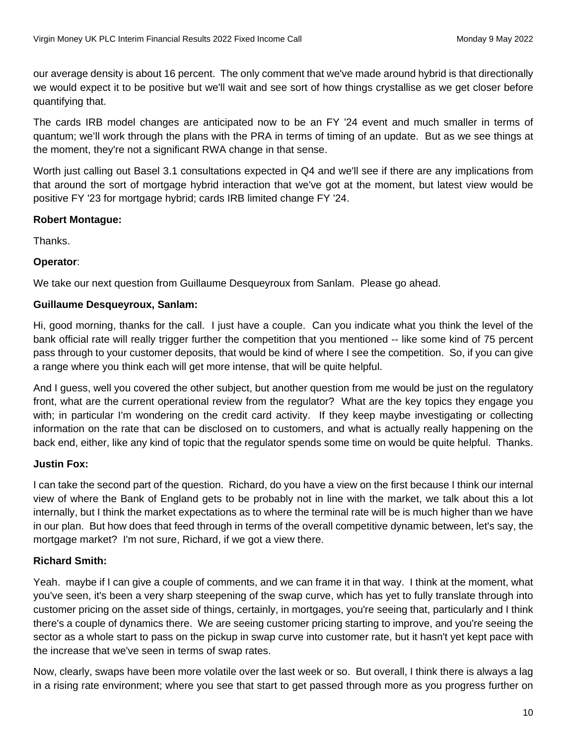our average density is about 16 percent. The only comment that we've made around hybrid is that directionally we would expect it to be positive but we'll wait and see sort of how things crystallise as we get closer before quantifying that.

The cards IRB model changes are anticipated now to be an FY '24 event and much smaller in terms of quantum; we'll work through the plans with the PRA in terms of timing of an update. But as we see things at the moment, they're not a significant RWA change in that sense.

Worth just calling out Basel 3.1 consultations expected in Q4 and we'll see if there are any implications from that around the sort of mortgage hybrid interaction that we've got at the moment, but latest view would be positive FY '23 for mortgage hybrid; cards IRB limited change FY '24.

### **Robert Montague:**

Thanks.

### **Operator**:

We take our next question from Guillaume Desqueyroux from Sanlam. Please go ahead.

#### **Guillaume Desqueyroux, Sanlam:**

Hi, good morning, thanks for the call. I just have a couple. Can you indicate what you think the level of the bank official rate will really trigger further the competition that you mentioned -- like some kind of 75 percent pass through to your customer deposits, that would be kind of where I see the competition. So, if you can give a range where you think each will get more intense, that will be quite helpful.

And I guess, well you covered the other subject, but another question from me would be just on the regulatory front, what are the current operational review from the regulator? What are the key topics they engage you with; in particular I'm wondering on the credit card activity. If they keep maybe investigating or collecting information on the rate that can be disclosed on to customers, and what is actually really happening on the back end, either, like any kind of topic that the regulator spends some time on would be quite helpful. Thanks.

#### **Justin Fox:**

I can take the second part of the question. Richard, do you have a view on the first because I think our internal view of where the Bank of England gets to be probably not in line with the market, we talk about this a lot internally, but I think the market expectations as to where the terminal rate will be is much higher than we have in our plan. But how does that feed through in terms of the overall competitive dynamic between, let's say, the mortgage market? I'm not sure, Richard, if we got a view there.

#### **Richard Smith:**

Yeah. maybe if I can give a couple of comments, and we can frame it in that way. I think at the moment, what you've seen, it's been a very sharp steepening of the swap curve, which has yet to fully translate through into customer pricing on the asset side of things, certainly, in mortgages, you're seeing that, particularly and I think there's a couple of dynamics there. We are seeing customer pricing starting to improve, and you're seeing the sector as a whole start to pass on the pickup in swap curve into customer rate, but it hasn't yet kept pace with the increase that we've seen in terms of swap rates.

Now, clearly, swaps have been more volatile over the last week or so. But overall, I think there is always a lag in a rising rate environment; where you see that start to get passed through more as you progress further on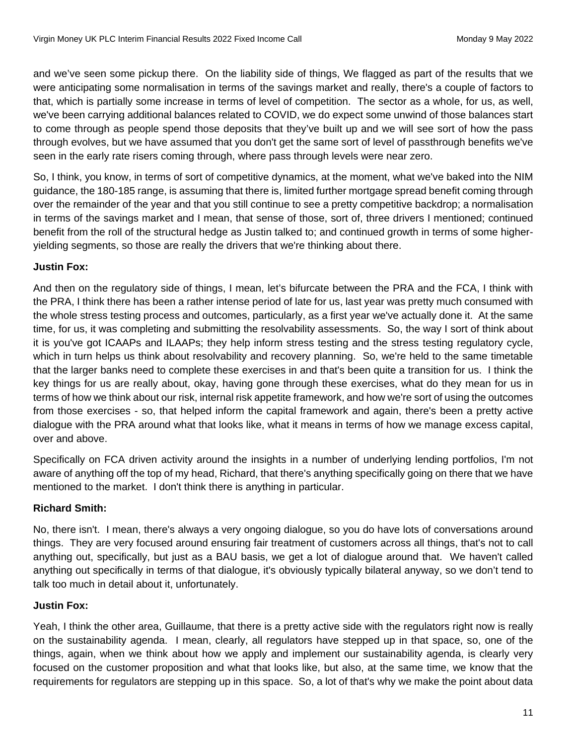and we've seen some pickup there. On the liability side of things, We flagged as part of the results that we were anticipating some normalisation in terms of the savings market and really, there's a couple of factors to that, which is partially some increase in terms of level of competition. The sector as a whole, for us, as well, we've been carrying additional balances related to COVID, we do expect some unwind of those balances start to come through as people spend those deposits that they've built up and we will see sort of how the pass through evolves, but we have assumed that you don't get the same sort of level of passthrough benefits we've seen in the early rate risers coming through, where pass through levels were near zero.

So, I think, you know, in terms of sort of competitive dynamics, at the moment, what we've baked into the NIM guidance, the 180-185 range, is assuming that there is, limited further mortgage spread benefit coming through over the remainder of the year and that you still continue to see a pretty competitive backdrop; a normalisation in terms of the savings market and I mean, that sense of those, sort of, three drivers I mentioned; continued benefit from the roll of the structural hedge as Justin talked to; and continued growth in terms of some higheryielding segments, so those are really the drivers that we're thinking about there.

# **Justin Fox:**

And then on the regulatory side of things, I mean, let's bifurcate between the PRA and the FCA, I think with the PRA, I think there has been a rather intense period of late for us, last year was pretty much consumed with the whole stress testing process and outcomes, particularly, as a first year we've actually done it. At the same time, for us, it was completing and submitting the resolvability assessments. So, the way I sort of think about it is you've got ICAAPs and ILAAPs; they help inform stress testing and the stress testing regulatory cycle, which in turn helps us think about resolvability and recovery planning. So, we're held to the same timetable that the larger banks need to complete these exercises in and that's been quite a transition for us. I think the key things for us are really about, okay, having gone through these exercises, what do they mean for us in terms of how we think about our risk, internal risk appetite framework, and how we're sort of using the outcomes from those exercises - so, that helped inform the capital framework and again, there's been a pretty active dialogue with the PRA around what that looks like, what it means in terms of how we manage excess capital, over and above.

Specifically on FCA driven activity around the insights in a number of underlying lending portfolios, I'm not aware of anything off the top of my head, Richard, that there's anything specifically going on there that we have mentioned to the market. I don't think there is anything in particular.

# **Richard Smith:**

No, there isn't. I mean, there's always a very ongoing dialogue, so you do have lots of conversations around things. They are very focused around ensuring fair treatment of customers across all things, that's not to call anything out, specifically, but just as a BAU basis, we get a lot of dialogue around that. We haven't called anything out specifically in terms of that dialogue, it's obviously typically bilateral anyway, so we don't tend to talk too much in detail about it, unfortunately.

# **Justin Fox:**

Yeah, I think the other area, Guillaume, that there is a pretty active side with the regulators right now is really on the sustainability agenda. I mean, clearly, all regulators have stepped up in that space, so, one of the things, again, when we think about how we apply and implement our sustainability agenda, is clearly very focused on the customer proposition and what that looks like, but also, at the same time, we know that the requirements for regulators are stepping up in this space. So, a lot of that's why we make the point about data